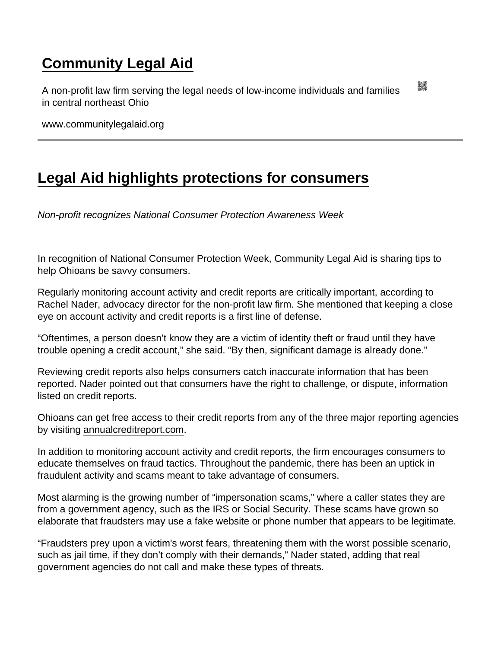## [Community Legal Aid](https://www.communitylegalaid.org/)

A non-profit law firm serving the legal needs of low-income individuals and families in central northeast Ohio

www.communitylegalaid.org

## [Legal Aid highlights protections for consumers](https://www.communitylegalaid.org/node/1691/legal-aid-highlights-protections-consumers)

Non-profit recognizes National Consumer Protection Awareness Week

In recognition of National Consumer Protection Week, Community Legal Aid is sharing tips to help Ohioans be savvy consumers.

Regularly monitoring account activity and credit reports are critically important, according to Rachel Nader, advocacy director for the non-profit law firm. She mentioned that keeping a close eye on account activity and credit reports is a first line of defense.

"Oftentimes, a person doesn't know they are a victim of identity theft or fraud until they have trouble opening a credit account," she said. "By then, significant damage is already done."

Reviewing credit reports also helps consumers catch inaccurate information that has been reported. Nader pointed out that consumers have the right to challenge, or dispute, information listed on credit reports.

Ohioans can get free access to their credit reports from any of the three major reporting agencies by visiting [annualcreditreport.com.](https://www.annualcreditreport.com/index.action)

In addition to monitoring account activity and credit reports, the firm encourages consumers to educate themselves on fraud tactics. Throughout the pandemic, there has been an uptick in fraudulent activity and scams meant to take advantage of consumers.

Most alarming is the growing number of "impersonation scams," where a caller states they are from a government agency, such as the IRS or Social Security. These scams have grown so elaborate that fraudsters may use a fake website or phone number that appears to be legitimate.

"Fraudsters prey upon a victim's worst fears, threatening them with the worst possible scenario, such as jail time, if they don't comply with their demands," Nader stated, adding that real government agencies do not call and make these types of threats.